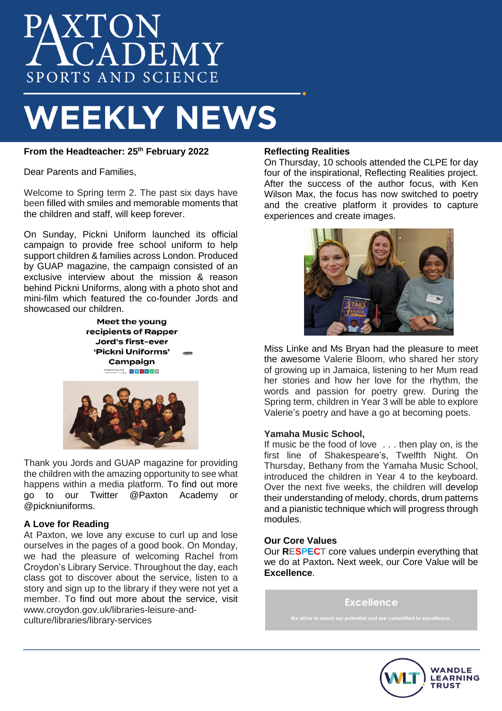# XTON<br>CADEMY SPORTS AND SCIENCE

# **WEEKLY NEWS**

# **From the Headteacher: 25th February 2022**

Dear Parents and Families,

Welcome to Spring term 2. The past six days have been filled with smiles and memorable moments that the children and staff, will keep forever.

On Sunday, Pickni Uniform launched its official campaign to provide free school uniform to help support children & families across London. Produced by GUAP magazine, the campaign consisted of an exclusive interview about the mission & reason behind Pickni Uniforms, along with a photo shot and mini-film which featured the co-founder Jords and showcased our children.

> Meet the young recipients of Rapper Jord's first-ever 'Pickni Uniforms' Campaign **SYELSE CULLEN f f f f f f f f**



Thank you Jords and GUAP magazine for providing the children with the amazing opportunity to see what happens within a media platform. To find out more<br>ao to our Twitter @Paxton Academy or @Paxton Academy or @pickniuniforms.

# **A Love for Reading**

At Paxton, we love any excuse to curl up and lose ourselves in the pages of a good book. On Monday, we had the pleasure of welcoming Rachel from Croydon's Library Service. Throughout the day, each class got to discover about the service, listen to a story and sign up to the library if they were not yet a member. To find out more about the service, visit www.croydon.gov.uk/libraries-leisure-andculture/libraries/library-services

# **Reflecting Realities**

On Thursday, 10 schools attended the CLPE for day four of the inspirational, Reflecting Realities project. After the success of the author focus, with Ken Wilson Max, the focus has now switched to poetry and the creative platform it provides to capture experiences and create images.



Miss Linke and Ms Bryan had the pleasure to meet the awesome Valerie Bloom, who shared her story of growing up in Jamaica, listening to her Mum read her stories and how her love for the rhythm, the words and passion for poetry grew. During the Spring term, children in Year 3 will be able to explore Valerie's poetry and have a go at becoming poets.

# **Yamaha Music School,**

If music be the food of love . . . then play on, is the first line of Shakespeare's, Twelfth Night. On Thursday, Bethany from the Yamaha Music School, introduced the children in Year 4 to the keyboard. Over the next five weeks, the children will develop their understanding of melody, chords, drum patterns and a pianistic technique which will progress through modules.

#### **Our Core Values**

Our **RESPECT** core values underpin everything that we do at Paxton**.** Next week, our Core Value will be **Excellence**. **Resilience**

#### **Excellence**